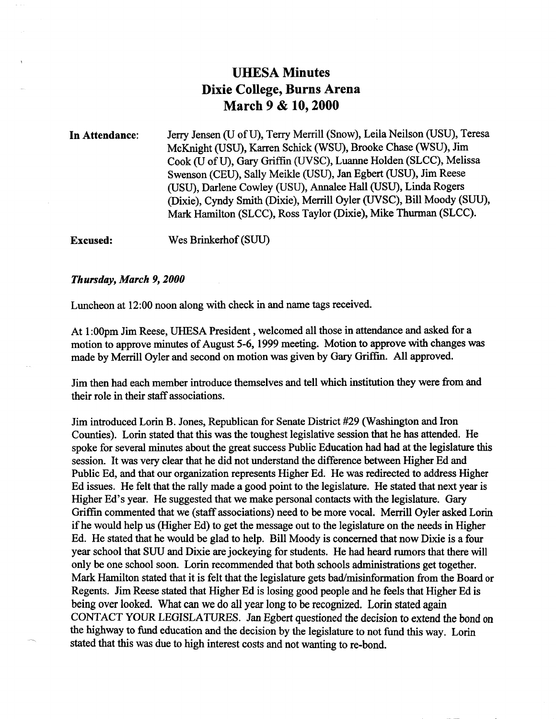### **UHESA Minutes Dixie College, Burns Arena March 9 & 10,2000**

In Attendance: Jerry Jensen (U of U), Terry Merrill (Snow), Leila Neilson (USU), Teresa McKnight (USU), Karren Schick (WSU), Brooke Chase (WSU), Jim Cook (U of U), Gary Griffin (UVSC), Luanne Holden (SLCC), Melissa Swenson (CEU), Sally Meikle (USU), Jan Egbert (USU), Jim Reese (USU), Darlene Cowley (USU), Annalee Hall (USU), Linda Rogers (Dixie), Cyndy Smith (Dixie), Merrill Oyler (UVSC), Bill Moody (SUU), Mark Hamilton (SLCC), Ross Taylor (Dixie), Mike Thurman (SLCC).

Excused: Wes Brinkerhof (SUU)

#### *Thursday, March 9,2000*

Luncheon at 12:00 noon along with check in and name tags received.

At 1:00pm Jim Reese, UHESA President, welcomed all those in attendance and asked for a motion to approve minutes of August 5-6,1999 meeting. Motion to approve with changes was made by Merrill Oyler and second on motion was given by Gary Griffin. All approved.

Jim then had each member introduce themselves and tell which institution they were from and their role in their staff associations.

Jim introduced Lorin B. Jones, Republican for Senate District #29 (Washington and Iron Counties). Lorin stated that this was the toughest legislative session that he has attended. He spoke for several minutes about the great success Public Education had had at the legislature this session. It was very clear that he did not understand the difference between Higher Ed and Public Ed, and that our organization represents Higher Ed. He was redirected to address Higher Ed issues. He felt that the rally made a good point to the legislature. He stated that next year is Higher Ed's year. He suggested that we make personal contacts with the legislature. Gary Griffin commented that we (staff associations) need to be more vocal. Merrill Oyler asked Lorin if he would help us (Higher Ed) to get the message out to the legislature on the needs in Higher Ed. He stated that he would be glad to help. Bill Moody is concerned that now Dixie is a four year school that SUU and Dixie are jockeying for students. He had heard rumors that there will only be one school soon. Lorin recommended that both schools administrations get together. Mark Hamilton stated that it is felt that the legislature gets bad/misinformation from the Board or Regents. Jim Reese stated that Higher Ed is losing good people and he feels that Higher Ed is being over looked. What can we do all year long to be recognized. Lorin stated again CONTACT YOUR LEGISLATURES. Jan Egbert questioned the decision to extend the bond on the highway to fund education and the decision by the legislature to not fund this way. Lorin stated that this was due to high interest costs and not wanting to re-bond.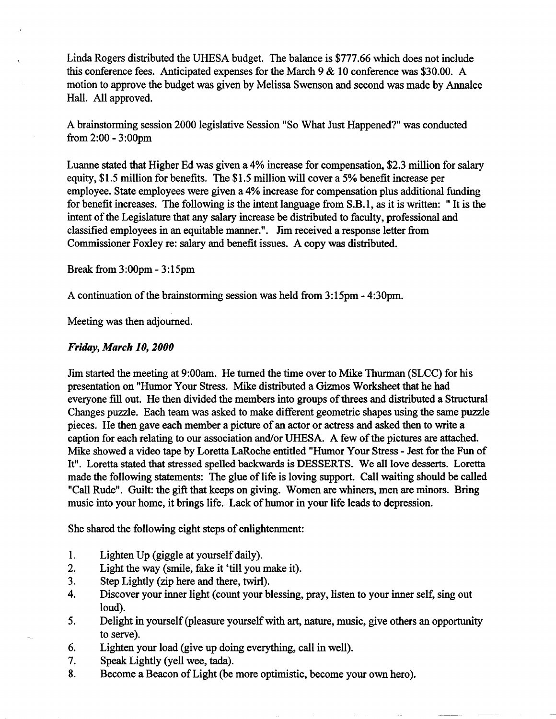Linda Rogers distributed the UHESA budget. The balance is \$777.66 which does not include this conference fees. Anticipated expenses for the March  $9 < 10$  conference was \$30.00. A motion to approve the budget was given by Melissa Swenson and second was made by Annalee Hall. All approved.

A brainstormhig session 2000 legislative Session "So What Just Happened?" was conducted from 2:00 - 3:00pm

Luanne stated that Higher Ed was given a 4% increase for compensation, \$2.3 million for salary equity, \$1.5 million for benefits. The \$1.5 million will cover a 5% benefit increase per employee. State employees were given a 4% increase for compensation plus additional funding for benefit increases. The following is the intent language from S.B. 1, as it is written: " It is the intent of the Legislature that any salary increase be distributed to faculty, professional and classified employees in an equitable manner.". Jim received a response letter from Commissioner Foxley re: salary and benefit issues. A copy was distributed.

Break from 3:00pm - 3:15pm

A continuation of the brainstorming session was held from 3:15pm - 4:30pm.

Meeting was then adjourned.

#### *Friday, March 10,2000*

Jim started the meeting at 9:00am. He turned the time over to Mike Thurman (SLCC) for his presentation on "Humor Your Stress. Mike distributed a Gizmos Worksheet that he had everyone fill out. He then divided the members into groups of threes and distributed a Structural Changes puzzle. Each team was asked to make different geometric shapes using the same puzzle pieces. He then gave each member a picture of an actor or actress and asked then to write a caption for each relating to our association and/or UHESA. A few of the pictures are attached. Mike showed a video tape by Loretta LaRoche entitled "Humor Your Stress - Jest for the Fun of It". Loretta stated that stressed spelled backwards is DESSERTS. We all love desserts. Loretta made the following statements: The glue of life is loving support. Call waiting should be called "Call Rude". Guilt: the gift that keeps on giving. Women are whiners, men are minors. Bring music into your home, it brings life. Lack of humor in your life leads to depression.

She shared the following eight steps of enlightenment:

- 1. Lighten Up (giggle at yourself daily).
- 2. Light the way (smile, fake it 'till you make it).
- 3. Step Lightly (zip here and there, twirl).
- 4. Discover your inner light (count your blessing, pray, listen to your inner self, sing out loud).
- 5. Delight in yourself (pleasure yourself with art, nature, music, give others an opportunity to serve).
- 6. Lighten your load (give up doing everything, call in well).
- 7. Speak Lightly (yell wee, tada).
- 8. Become a Beacon of Light (be more optimistic, become your own hero).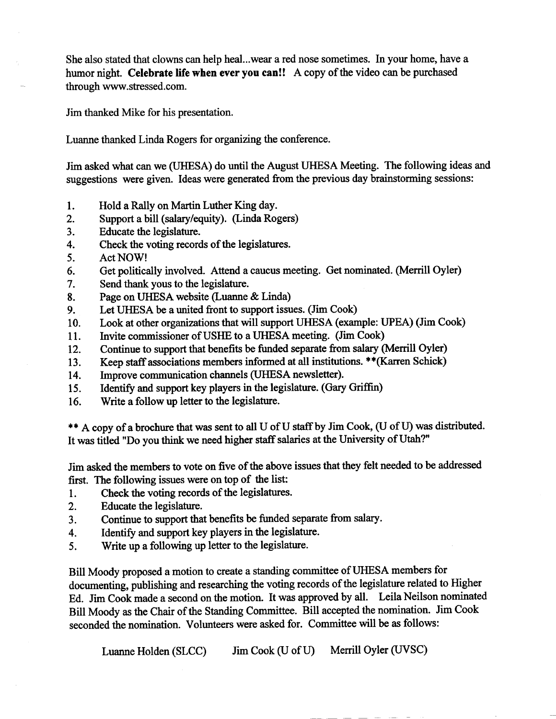She also stated that clowns can help heal...wear a red nose sometimes. In your home, have a humor night. **Celebrate life when ever you can!!** A copy of the video can be purchased through www.stressed.com.

Jim thanked Mike for his presentation.

Luanne thanked Linda Rogers for organizing the conference.

Jim asked what can we (UHESA) do until the August UHESA Meeting. The following ideas and suggestions were given. Ideas were generated from the previous day brainstorming sessions:

- 1. Hold a Rally on Martin Luther King day.
- 2. Support a bill (salary/equity). *(Linda.* Rogers)
- 3. Educate the legislature.
- 4. Check the voting records of the legislatures.
- 5. Act NOW!
- 6. Get politically involved. Attend a caucus meeting. Get nominated. (Merrill Oyler)
- 7. Send thank yous to the legislature.
- 8. Page on UHESA website (Luanne & Linda)
- 9. Let UHESA be a united front to support issues. (Jim Cook)
- 10. Look at other organizations that will support UHESA (example: UPEA) (Jim Cook)
- 11. Invite commissioner of USHE to a UHESA meeting. (Jim Cook)
- 12. Continue to support that benefits be funded separate from salary (Merrill Oyler)
- 13. Keep staff associations members informed at all institutions. \*\*(Karren Schick)
- 14. Improve communication channels (UHESA newsletter).
- 15. Identify and support key players in the legislature. (Gary Griffin)
- 16. Write a follow up letter to the legislature.

\*\* A copy of a brochure that was sent to all U of U staff by Jim Cook, (U of U) was distributed. It was titled "Do you think we need higher staff salaries at the University of Utah?"

Jim asked the members to vote on five of the above issues that they felt needed to be addressed first. The following issues were on top of the list:

- 1. Check the voting records of the legislatures.
- 2. Educate the legislature.
- 3. Continue to support that benefits be funded separate from salary.
- 4. Identify and support key players in the legislature.
- 5. Write up a following up letter to the legislature.

Bill Moody proposed a motion to create a standing committee of UHESA members for documenting, publishing and researching the voting records of the legislature related to Higher Ed. Jim Cook made a second on the motion. It was approved by all. Leila Neilson nominated Bill Moody as the Chair of the Standing Committee. Bill accepted the nomination. Jim Cook seconded the nomination. Volunteers were asked for. Committee will be as follows:

Luanne Holden (SLCC) Jim Cook (U of U) Merrill Oyler (UVSC)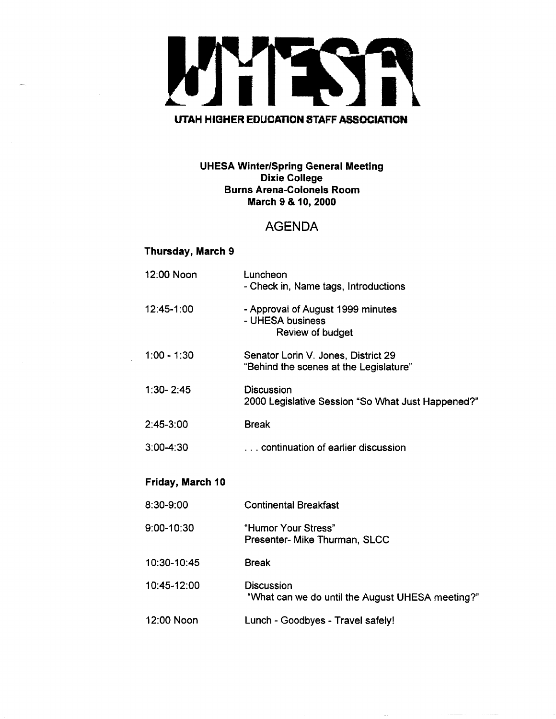

#### **UHESA Winter/Spring General Meeting Dixie College Burns Arena-Colonels Room March 9 & 10, 2000**

#### AGENDA

#### **Thursday, March 9**

| 12:00 Noon       | Luncheon<br>- Check in, Name tags, Introductions                              |  |  |  |  |
|------------------|-------------------------------------------------------------------------------|--|--|--|--|
| 12:45-1:00       | - Approval of August 1999 minutes<br>- UHESA business<br>Review of budget     |  |  |  |  |
| $1:00 - 1:30$    | Senator Lorin V. Jones, District 29<br>"Behind the scenes at the Legislature" |  |  |  |  |
| $1:30 - 2:45$    | <b>Discussion</b><br>2000 Legislative Session "So What Just Happened?"        |  |  |  |  |
| 2:45-3:00        | <b>Break</b>                                                                  |  |  |  |  |
| $3:00 - 4:30$    | continuation of earlier discussion                                            |  |  |  |  |
| Friday, March 10 |                                                                               |  |  |  |  |
| 8:30-9:00        | <b>Continental Breakfast</b>                                                  |  |  |  |  |
| 9:00-10:30       | "Humor Your Stress"<br>Presenter- Mike Thurman, SLCC                          |  |  |  |  |
| 10:30-10:45      | <b>Break</b>                                                                  |  |  |  |  |
| 10:45-12:00      | Discussion<br>"What can we do until the August UHESA meeting?"                |  |  |  |  |
| 12:00 Noon       | Lunch - Goodbyes - Travel safely!                                             |  |  |  |  |